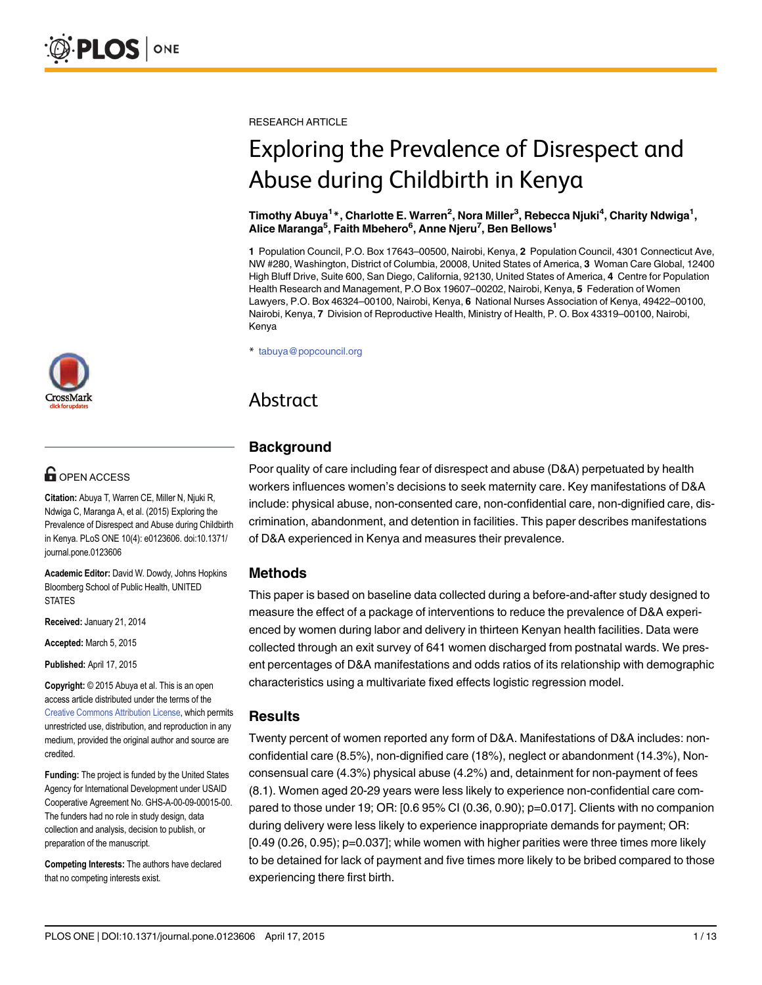RESEARCH ARTICLE

# Exploring the Prevalence of Disrespect and Abuse during Childbirth in Kenya

Timothy Abuya<sup>1</sup>\*, Charlotte E. Warren<sup>2</sup>, Nora Miller<sup>3</sup>, Rebecca Njuki<sup>4</sup>, Charity Ndwiga<sup>1</sup>, Alice Maranga<sup>5</sup>, Faith Mbehero<sup>6</sup>, Anne Njeru<sup>7</sup>, Ben Bellows<sup>1</sup>

1 Population Council, P.O. Box 17643–00500, Nairobi, Kenya, 2 Population Council, 4301 Connecticut Ave, NW #280, Washington, District of Columbia, 20008, United States of America, 3 Woman Care Global, 12400 High Bluff Drive, Suite 600, San Diego, California, 92130, United States of America, 4 Centre for Population Health Research and Management, P.O Box 19607–00202, Nairobi, Kenya, 5 Federation of Women Lawyers, P.O. Box 46324–00100, Nairobi, Kenya, 6 National Nurses Association of Kenya, 49422–00100, Nairobi, Kenya, 7 Division of Reproductive Health, Ministry of Health, P. O. Box 43319–00100, Nairobi, Kenya

\* tabuya@popcouncil.org

# Abstract

#### **Background**

Poor quality of care including fear of disrespect and abuse (D&A) perpetuated by health workers influences women's decisions to seek maternity care. Key manifestations of D&A include: physical abuse, non-consented care, non-confidential care, non-dignified care, discrimination, abandonment, and detention in facilities. This paper describes manifestations of D&A experienced in Kenya and measures their prevalence.

#### Methods

This paper is based on baseline data collected during a before-and-after study designed to measure the effect of a package of interventions to reduce the prevalence of D&A experienced by women during labor and delivery in thirteen Kenyan health facilities. Data were collected through an exit survey of 641 women discharged from postnatal wards. We present percentages of D&A manifestations and odds ratios of its relationship with demographic characteristics using a multivariate fixed effects logistic regression model.

#### **Results**

Twenty percent of women reported any form of D&A. Manifestations of D&A includes: nonconfidential care (8.5%), non-dignified care (18%), neglect or abandonment (14.3%), Nonconsensual care (4.3%) physical abuse (4.2%) and, detainment for non-payment of fees (8.1). Women aged 20-29 years were less likely to experience non-confidential care compared to those under 19; OR: [0.6 95% CI (0.36, 0.90); p=0.017]. Clients with no companion during delivery were less likely to experience inappropriate demands for payment; OR: [0.49 (0.26, 0.95); p=0.037]; while women with higher parities were three times more likely to be detained for lack of payment and five times more likely to be bribed compared to those experiencing there first birth.



# **G** OPEN ACCESS

Citation: Abuya T, Warren CE, Miller N, Njuki R, Ndwiga C, Maranga A, et al. (2015) Exploring the Prevalence of Disrespect and Abuse during Childbirth in Kenya. PLoS ONE 10(4): e0123606. doi:10.1371/ journal.pone.0123606

Academic Editor: David W. Dowdy, Johns Hopkins Bloomberg School of Public Health, UNITED **STATES** 

Received: January 21, 2014

Accepted: March 5, 2015

Published: April 17, 2015

Copyright: © 2015 Abuya et al. This is an open access article distributed under the terms of the [Creative Commons Attribution License,](http://creativecommons.org/licenses/by/4.0/) which permits unrestricted use, distribution, and reproduction in any medium, provided the original author and source are credited.

Funding: The project is funded by the United States Agency for International Development under USAID Cooperative Agreement No. GHS-A-00-09-00015-00. The funders had no role in study design, data collection and analysis, decision to publish, or preparation of the manuscript.

Competing Interests: The authors have declared that no competing interests exist.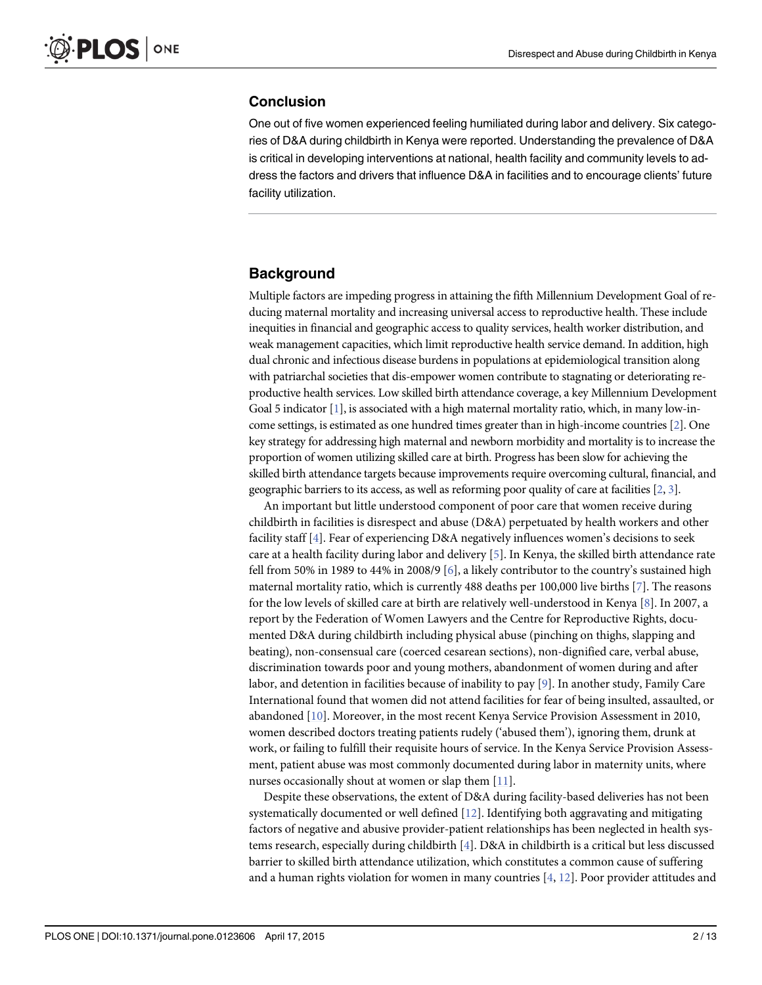#### <span id="page-1-0"></span>**Conclusion**

One out of five women experienced feeling humiliated during labor and delivery. Six categories of D&A during childbirth in Kenya were reported. Understanding the prevalence of D&A is critical in developing interventions at national, health facility and community levels to address the factors and drivers that influence D&A in facilities and to encourage clients' future facility utilization.

#### **Background**

Multiple factors are impeding progress in attaining the fifth Millennium Development Goal of reducing maternal mortality and increasing universal access to reproductive health. These include inequities in financial and geographic access to quality services, health worker distribution, and weak management capacities, which limit reproductive health service demand. In addition, high dual chronic and infectious disease burdens in populations at epidemiological transition along with patriarchal societies that dis-empower women contribute to stagnating or deteriorating reproductive health services. Low skilled birth attendance coverage, a key Millennium Development Goal 5 indicator  $[1]$ , is associated with a high maternal mortality ratio, which, in many low-income settings, is estimated as one hundred times greater than in high-income countries [\[2](#page-11-0)]. One key strategy for addressing high maternal and newborn morbidity and mortality is to increase the proportion of women utilizing skilled care at birth. Progress has been slow for achieving the skilled birth attendance targets because improvements require overcoming cultural, financial, and geographic barriers to its access, as well as reforming poor quality of care at facilities  $[2, 3]$  $[2, 3]$  $[2, 3]$ .

An important but little understood component of poor care that women receive during childbirth in facilities is disrespect and abuse (D&A) perpetuated by health workers and other facility staff [[4](#page-11-0)]. Fear of experiencing D&A negatively influences women's decisions to seek care at a health facility during labor and delivery [[5](#page-11-0)]. In Kenya, the skilled birth attendance rate fell from 50% in 1989 to 44% in 2008/9 [[6\]](#page-11-0), a likely contributor to the country's sustained high maternal mortality ratio, which is currently 488 deaths per 100,000 live births [\[7](#page-11-0)]. The reasons for the low levels of skilled care at birth are relatively well-understood in Kenya [[8\]](#page-11-0). In 2007, a report by the Federation of Women Lawyers and the Centre for Reproductive Rights, documented D&A during childbirth including physical abuse (pinching on thighs, slapping and beating), non-consensual care (coerced cesarean sections), non-dignified care, verbal abuse, discrimination towards poor and young mothers, abandonment of women during and after labor, and detention in facilities because of inability to pay  $[9]$  $[9]$  $[9]$ . In another study, Family Care International found that women did not attend facilities for fear of being insulted, assaulted, or abandoned [[10](#page-12-0)]. Moreover, in the most recent Kenya Service Provision Assessment in 2010, women described doctors treating patients rudely ('abused them'), ignoring them, drunk at work, or failing to fulfill their requisite hours of service. In the Kenya Service Provision Assessment, patient abuse was most commonly documented during labor in maternity units, where nurses occasionally shout at women or slap them  $[11]$ .

Despite these observations, the extent of D&A during facility-based deliveries has not been systematically documented or well defined [[12](#page-12-0)]. Identifying both aggravating and mitigating factors of negative and abusive provider-patient relationships has been neglected in health systems research, especially during childbirth [[4\]](#page-11-0). D&A in childbirth is a critical but less discussed barrier to skilled birth attendance utilization, which constitutes a common cause of suffering and a human rights violation for women in many countries  $[4, 12]$  $[4, 12]$  $[4, 12]$  $[4, 12]$ . Poor provider attitudes and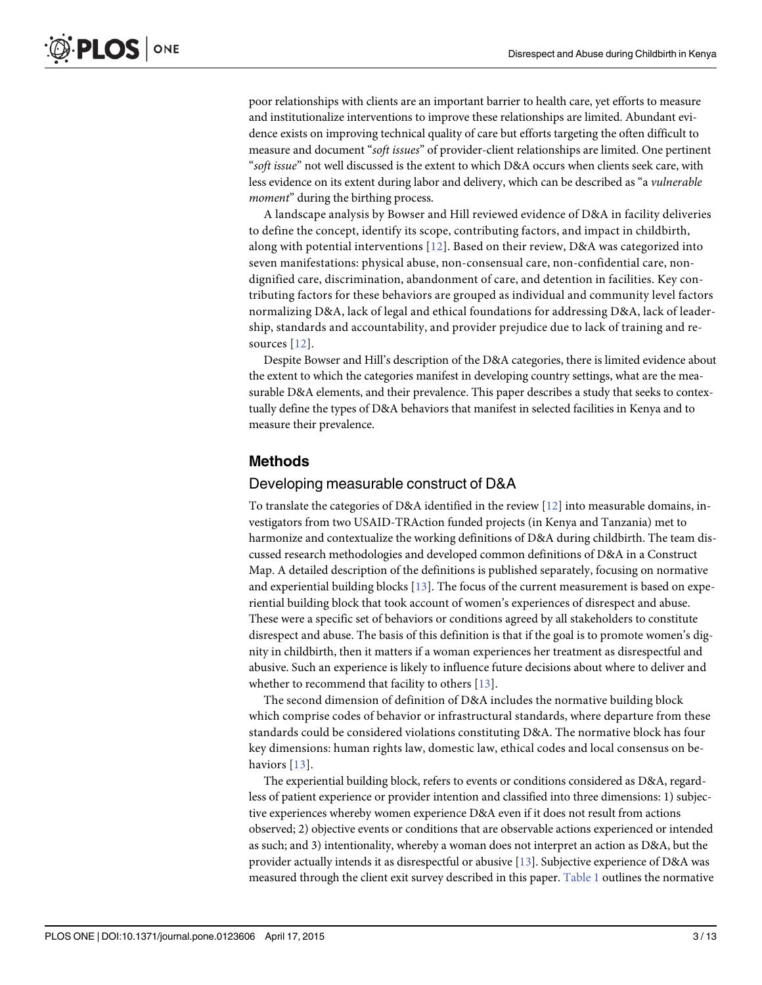<span id="page-2-0"></span>poor relationships with clients are an important barrier to health care, yet efforts to measure and institutionalize interventions to improve these relationships are limited. Abundant evidence exists on improving technical quality of care but efforts targeting the often difficult to measure and document "soft issues" of provider-client relationships are limited. One pertinent "soft issue" not well discussed is the extent to which D&A occurs when clients seek care, with less evidence on its extent during labor and delivery, which can be described as "a vulnerable moment" during the birthing process.

A landscape analysis by Bowser and Hill reviewed evidence of D&A in facility deliveries to define the concept, identify its scope, contributing factors, and impact in childbirth, along with potential interventions  $[12]$  $[12]$  $[12]$ . Based on their review, D&A was categorized into seven manifestations: physical abuse, non-consensual care, non-confidential care, nondignified care, discrimination, abandonment of care, and detention in facilities. Key contributing factors for these behaviors are grouped as individual and community level factors normalizing D&A, lack of legal and ethical foundations for addressing D&A, lack of leadership, standards and accountability, and provider prejudice due to lack of training and resources [[12\]](#page-12-0).

Despite Bowser and Hill's description of the D&A categories, there is limited evidence about the extent to which the categories manifest in developing country settings, what are the measurable D&A elements, and their prevalence. This paper describes a study that seeks to contextually define the types of D&A behaviors that manifest in selected facilities in Kenya and to measure their prevalence.

#### Methods

#### Developing measurable construct of D&A

To translate the categories of D&A identified in the review  $[12]$  $[12]$  into measurable domains, investigators from two USAID-TRAction funded projects (in Kenya and Tanzania) met to harmonize and contextualize the working definitions of D&A during childbirth. The team discussed research methodologies and developed common definitions of D&A in a Construct Map. A detailed description of the definitions is published separately, focusing on normative and experiential building blocks  $[13]$  $[13]$  $[13]$ . The focus of the current measurement is based on experiential building block that took account of women's experiences of disrespect and abuse. These were a specific set of behaviors or conditions agreed by all stakeholders to constitute disrespect and abuse. The basis of this definition is that if the goal is to promote women's dignity in childbirth, then it matters if a woman experiences her treatment as disrespectful and abusive. Such an experience is likely to influence future decisions about where to deliver and whether to recommend that facility to others  $[13]$  $[13]$  $[13]$ .

The second dimension of definition of D&A includes the normative building block which comprise codes of behavior or infrastructural standards, where departure from these standards could be considered violations constituting D&A. The normative block has four key dimensions: human rights law, domestic law, ethical codes and local consensus on be-haviors [[13\]](#page-12-0).

The experiential building block, refers to events or conditions considered as D&A, regardless of patient experience or provider intention and classified into three dimensions: 1) subjective experiences whereby women experience D&A even if it does not result from actions observed; 2) objective events or conditions that are observable actions experienced or intended as such; and 3) intentionality, whereby a woman does not interpret an action as D&A, but the provider actually intends it as disrespectful or abusive [\[13](#page-12-0)]. Subjective experience of D&A was measured through the client exit survey described in this paper. [Table 1](#page-3-0) outlines the normative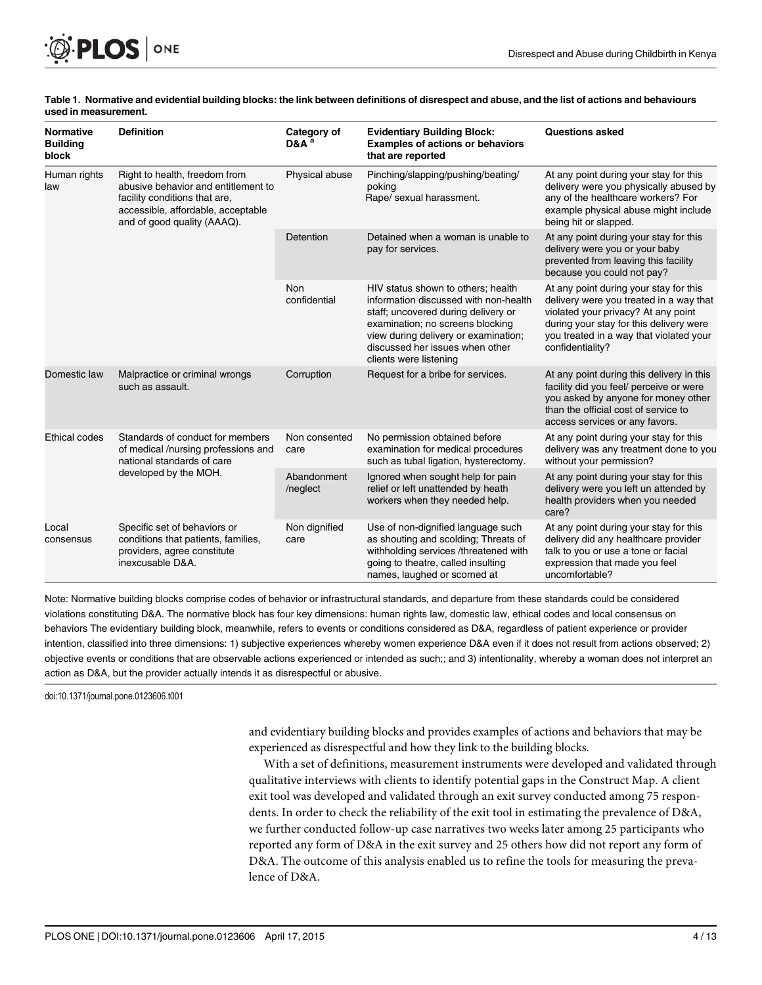<span id="page-3-0"></span>

| <b>Normative</b><br><b>Building</b><br>block | <b>Definition</b>                                                                                                                                                          | Category of<br>D&A <sup>a</sup> | <b>Evidentiary Building Block:</b><br><b>Examples of actions or behaviors</b><br>that are reported                                                                                                                                                          | <b>Questions asked</b>                                                                                                                                                                                                             |  |
|----------------------------------------------|----------------------------------------------------------------------------------------------------------------------------------------------------------------------------|---------------------------------|-------------------------------------------------------------------------------------------------------------------------------------------------------------------------------------------------------------------------------------------------------------|------------------------------------------------------------------------------------------------------------------------------------------------------------------------------------------------------------------------------------|--|
| Human rights<br>law                          | Right to health, freedom from<br>abusive behavior and entitlement to<br>facility conditions that are,<br>accessible, affordable, acceptable<br>and of good quality (AAAQ). | Physical abuse                  | Pinching/slapping/pushing/beating/<br>poking<br>Rape/ sexual harassment.                                                                                                                                                                                    | At any point during your stay for this<br>delivery were you physically abused by<br>any of the healthcare workers? For<br>example physical abuse might include<br>being hit or slapped.                                            |  |
|                                              |                                                                                                                                                                            | Detention                       | Detained when a woman is unable to<br>pay for services.                                                                                                                                                                                                     | At any point during your stay for this<br>delivery were you or your baby<br>prevented from leaving this facility<br>because you could not pay?                                                                                     |  |
|                                              |                                                                                                                                                                            | Non<br>confidential             | HIV status shown to others; health<br>information discussed with non-health<br>staff; uncovered during delivery or<br>examination; no screens blocking<br>view during delivery or examination;<br>discussed her issues when other<br>clients were listening | At any point during your stay for this<br>delivery were you treated in a way that<br>violated your privacy? At any point<br>during your stay for this delivery were<br>you treated in a way that violated your<br>confidentiality? |  |
| Domestic law                                 | Malpractice or criminal wrongs<br>such as assault.                                                                                                                         | Corruption                      | Request for a bribe for services.                                                                                                                                                                                                                           | At any point during this delivery in this<br>facility did you feel/ perceive or were<br>you asked by anyone for money other<br>than the official cost of service to<br>access services or any favors.                              |  |
| <b>Ethical codes</b>                         | Standards of conduct for members<br>of medical /nursing professions and<br>national standards of care                                                                      | Non consented<br>care           | No permission obtained before<br>examination for medical procedures<br>such as tubal ligation, hysterectomy.                                                                                                                                                | At any point during your stay for this<br>delivery was any treatment done to you<br>without your permission?                                                                                                                       |  |
|                                              | developed by the MOH.                                                                                                                                                      | Abandonment<br>/neglect         | Ignored when sought help for pain<br>relief or left unattended by heath<br>workers when they needed help.                                                                                                                                                   | At any point during your stay for this<br>delivery were you left un attended by<br>health providers when you needed<br>care?                                                                                                       |  |
| Local<br>consensus                           | Specific set of behaviors or<br>conditions that patients, families,<br>providers, agree constitute<br>inexcusable D&A.                                                     | Non dignified<br>care           | Use of non-dignified language such<br>as shouting and scolding; Threats of<br>withholding services /threatened with<br>going to theatre, called insulting<br>names, laughed or scorned at                                                                   | At any point during your stay for this<br>delivery did any healthcare provider<br>talk to you or use a tone or facial<br>expression that made you feel<br>uncomfortable?                                                           |  |

#### [Table 1.](#page-2-0) Normative and evidential building blocks: the link between definitions of disrespect and abuse, and the list of actions and behaviours used in measurement.

Note: Normative building blocks comprise codes of behavior or infrastructural standards, and departure from these standards could be considered violations constituting D&A. The normative block has four key dimensions: human rights law, domestic law, ethical codes and local consensus on behaviors The evidentiary building block, meanwhile, refers to events or conditions considered as D&A, regardless of patient experience or provider intention, classified into three dimensions: 1) subjective experiences whereby women experience D&A even if it does not result from actions observed; 2) objective events or conditions that are observable actions experienced or intended as such;; and 3) intentionality, whereby a woman does not interpret an action as D&A, but the provider actually intends it as disrespectful or abusive.

doi:10.1371/journal.pone.0123606.t001

and evidentiary building blocks and provides examples of actions and behaviors that may be experienced as disrespectful and how they link to the building blocks.

With a set of definitions, measurement instruments were developed and validated through qualitative interviews with clients to identify potential gaps in the Construct Map. A client exit tool was developed and validated through an exit survey conducted among 75 respondents. In order to check the reliability of the exit tool in estimating the prevalence of D&A, we further conducted follow-up case narratives two weeks later among 25 participants who reported any form of D&A in the exit survey and 25 others how did not report any form of D&A. The outcome of this analysis enabled us to refine the tools for measuring the prevalence of D&A.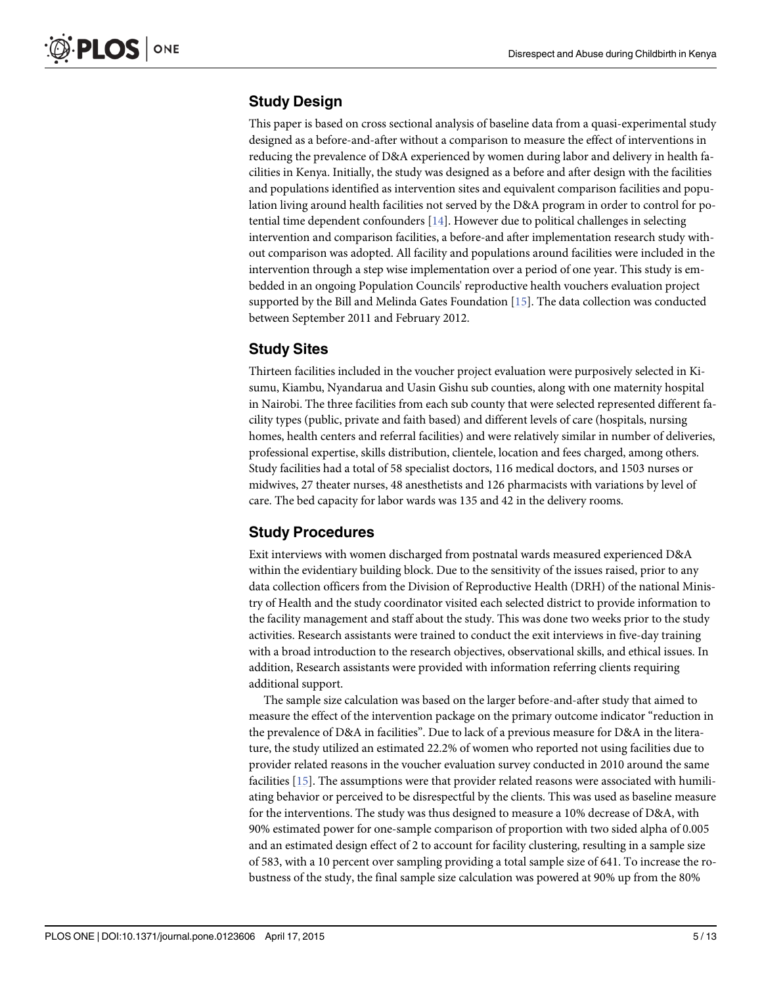### <span id="page-4-0"></span>Study Design

This paper is based on cross sectional analysis of baseline data from a quasi-experimental study designed as a before-and-after without a comparison to measure the effect of interventions in reducing the prevalence of D&A experienced by women during labor and delivery in health facilities in Kenya. Initially, the study was designed as a before and after design with the facilities and populations identified as intervention sites and equivalent comparison facilities and population living around health facilities not served by the D&A program in order to control for potential time dependent confounders  $[14]$ . However due to political challenges in selecting intervention and comparison facilities, a before-and after implementation research study without comparison was adopted. All facility and populations around facilities were included in the intervention through a step wise implementation over a period of one year. This study is embedded in an ongoing Population Councils' reproductive health vouchers evaluation project supported by the Bill and Melinda Gates Foundation [[15\]](#page-12-0). The data collection was conducted between September 2011 and February 2012.

#### Study Sites

Thirteen facilities included in the voucher project evaluation were purposively selected in Kisumu, Kiambu, Nyandarua and Uasin Gishu sub counties, along with one maternity hospital in Nairobi. The three facilities from each sub county that were selected represented different facility types (public, private and faith based) and different levels of care (hospitals, nursing homes, health centers and referral facilities) and were relatively similar in number of deliveries, professional expertise, skills distribution, clientele, location and fees charged, among others. Study facilities had a total of 58 specialist doctors, 116 medical doctors, and 1503 nurses or midwives, 27 theater nurses, 48 anesthetists and 126 pharmacists with variations by level of care. The bed capacity for labor wards was 135 and 42 in the delivery rooms.

## Study Procedures

Exit interviews with women discharged from postnatal wards measured experienced D&A within the evidentiary building block. Due to the sensitivity of the issues raised, prior to any data collection officers from the Division of Reproductive Health (DRH) of the national Ministry of Health and the study coordinator visited each selected district to provide information to the facility management and staff about the study. This was done two weeks prior to the study activities. Research assistants were trained to conduct the exit interviews in five-day training with a broad introduction to the research objectives, observational skills, and ethical issues. In addition, Research assistants were provided with information referring clients requiring additional support.

The sample size calculation was based on the larger before-and-after study that aimed to measure the effect of the intervention package on the primary outcome indicator "reduction in the prevalence of D&A in facilities". Due to lack of a previous measure for D&A in the literature, the study utilized an estimated 22.2% of women who reported not using facilities due to provider related reasons in the voucher evaluation survey conducted in 2010 around the same facilities [\[15\]](#page-12-0). The assumptions were that provider related reasons were associated with humiliating behavior or perceived to be disrespectful by the clients. This was used as baseline measure for the interventions. The study was thus designed to measure a 10% decrease of D&A, with 90% estimated power for one-sample comparison of proportion with two sided alpha of 0.005 and an estimated design effect of 2 to account for facility clustering, resulting in a sample size of 583, with a 10 percent over sampling providing a total sample size of 641. To increase the robustness of the study, the final sample size calculation was powered at 90% up from the 80%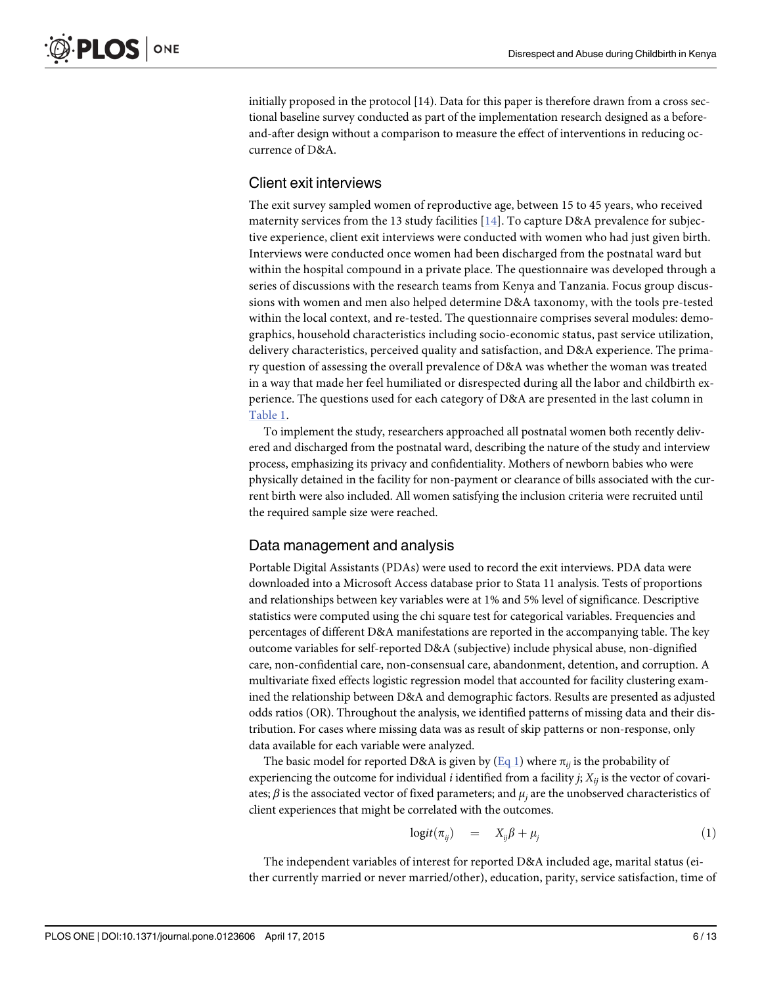initially proposed in the protocol [14). Data for this paper is therefore drawn from a cross sectional baseline survey conducted as part of the implementation research designed as a beforeand-after design without a comparison to measure the effect of interventions in reducing occurrence of D&A.

#### Client exit interviews

The exit survey sampled women of reproductive age, between 15 to 45 years, who received maternity services from the 13 study facilities  $[14]$  $[14]$ . To capture D&A prevalence for subjective experience, client exit interviews were conducted with women who had just given birth. Interviews were conducted once women had been discharged from the postnatal ward but within the hospital compound in a private place. The questionnaire was developed through a series of discussions with the research teams from Kenya and Tanzania. Focus group discussions with women and men also helped determine D&A taxonomy, with the tools pre-tested within the local context, and re-tested. The questionnaire comprises several modules: demographics, household characteristics including socio-economic status, past service utilization, delivery characteristics, perceived quality and satisfaction, and D&A experience. The primary question of assessing the overall prevalence of D&A was whether the woman was treated in a way that made her feel humiliated or disrespected during all the labor and childbirth experience. The questions used for each category of D&A are presented in the last column in [Table 1.](#page-3-0)

To implement the study, researchers approached all postnatal women both recently delivered and discharged from the postnatal ward, describing the nature of the study and interview process, emphasizing its privacy and confidentiality. Mothers of newborn babies who were physically detained in the facility for non-payment or clearance of bills associated with the current birth were also included. All women satisfying the inclusion criteria were recruited until the required sample size were reached.

#### Data management and analysis

Portable Digital Assistants (PDAs) were used to record the exit interviews. PDA data were downloaded into a Microsoft Access database prior to Stata 11 analysis. Tests of proportions and relationships between key variables were at 1% and 5% level of significance. Descriptive statistics were computed using the chi square test for categorical variables. Frequencies and percentages of different D&A manifestations are reported in the accompanying table. The key outcome variables for self-reported D&A (subjective) include physical abuse, non-dignified care, non-confidential care, non-consensual care, abandonment, detention, and corruption. A multivariate fixed effects logistic regression model that accounted for facility clustering examined the relationship between D&A and demographic factors. Results are presented as adjusted odds ratios (OR). Throughout the analysis, we identified patterns of missing data and their distribution. For cases where missing data was as result of skip patterns or non-response, only data available for each variable were analyzed.

The basic model for reported D&A is given by  $(Eq_1)$  where  $\pi_{ij}$  is the probability of experiencing the outcome for individual *i* identified from a facility *j*;  $X_{ii}$  is the vector of covariates;  $\beta$  is the associated vector of fixed parameters; and  $\mu_i$  are the unobserved characteristics of client experiences that might be correlated with the outcomes.

$$
logit(\pi_{ij}) = X_{ij}\beta + \mu_j \tag{1}
$$

The independent variables of interest for reported D&A included age, marital status (either currently married or never married/other), education, parity, service satisfaction, time of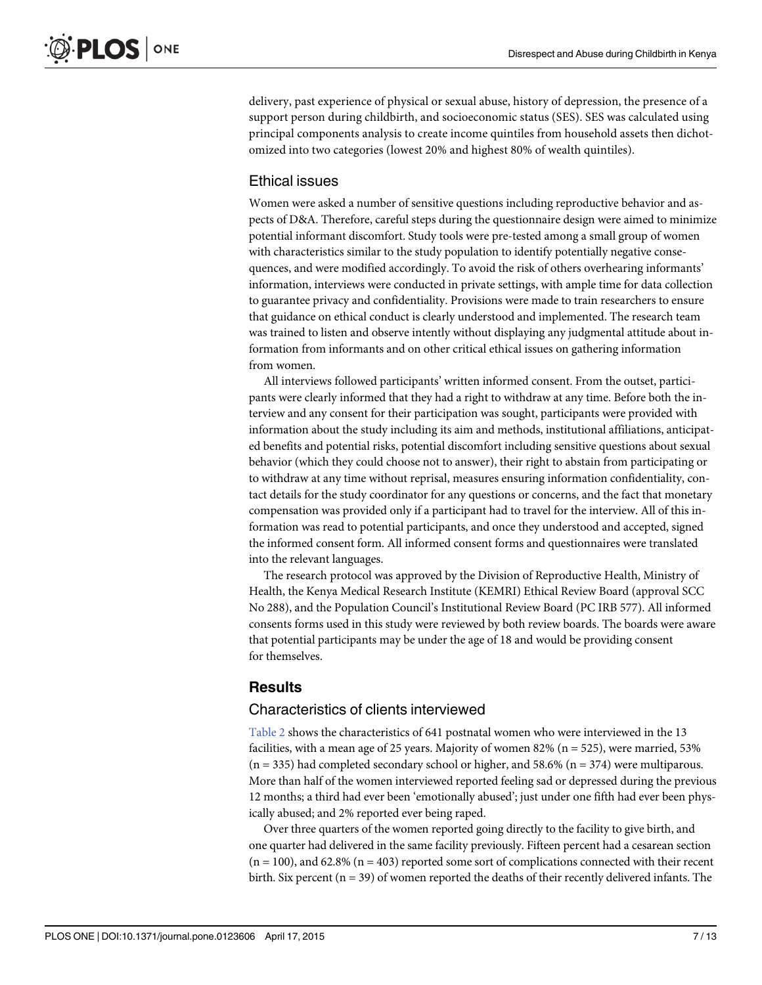<span id="page-6-0"></span>delivery, past experience of physical or sexual abuse, history of depression, the presence of a support person during childbirth, and socioeconomic status (SES). SES was calculated using principal components analysis to create income quintiles from household assets then dichotomized into two categories (lowest 20% and highest 80% of wealth quintiles).

#### Ethical issues

Women were asked a number of sensitive questions including reproductive behavior and aspects of D&A. Therefore, careful steps during the questionnaire design were aimed to minimize potential informant discomfort. Study tools were pre-tested among a small group of women with characteristics similar to the study population to identify potentially negative consequences, and were modified accordingly. To avoid the risk of others overhearing informants' information, interviews were conducted in private settings, with ample time for data collection to guarantee privacy and confidentiality. Provisions were made to train researchers to ensure that guidance on ethical conduct is clearly understood and implemented. The research team was trained to listen and observe intently without displaying any judgmental attitude about information from informants and on other critical ethical issues on gathering information from women.

All interviews followed participants' written informed consent. From the outset, participants were clearly informed that they had a right to withdraw at any time. Before both the interview and any consent for their participation was sought, participants were provided with information about the study including its aim and methods, institutional affiliations, anticipated benefits and potential risks, potential discomfort including sensitive questions about sexual behavior (which they could choose not to answer), their right to abstain from participating or to withdraw at any time without reprisal, measures ensuring information confidentiality, contact details for the study coordinator for any questions or concerns, and the fact that monetary compensation was provided only if a participant had to travel for the interview. All of this information was read to potential participants, and once they understood and accepted, signed the informed consent form. All informed consent forms and questionnaires were translated into the relevant languages.

The research protocol was approved by the Division of Reproductive Health, Ministry of Health, the Kenya Medical Research Institute (KEMRI) Ethical Review Board (approval SCC No 288), and the Population Council's Institutional Review Board (PC IRB 577). All informed consents forms used in this study were reviewed by both review boards. The boards were aware that potential participants may be under the age of 18 and would be providing consent for themselves.

#### **Results**

#### Characteristics of clients interviewed

[Table 2](#page-7-0) shows the characteristics of 641 postnatal women who were interviewed in the 13 facilities, with a mean age of 25 years. Majority of women 82% ( $n = 525$ ), were married, 53%  $(n = 335)$  had completed secondary school or higher, and 58.6%  $(n = 374)$  were multiparous. More than half of the women interviewed reported feeling sad or depressed during the previous 12 months; a third had ever been 'emotionally abused'; just under one fifth had ever been physically abused; and 2% reported ever being raped.

Over three quarters of the women reported going directly to the facility to give birth, and one quarter had delivered in the same facility previously. Fifteen percent had a cesarean section  $(n = 100)$ , and 62.8%  $(n = 403)$  reported some sort of complications connected with their recent birth. Six percent  $(n = 39)$  of women reported the deaths of their recently delivered infants. The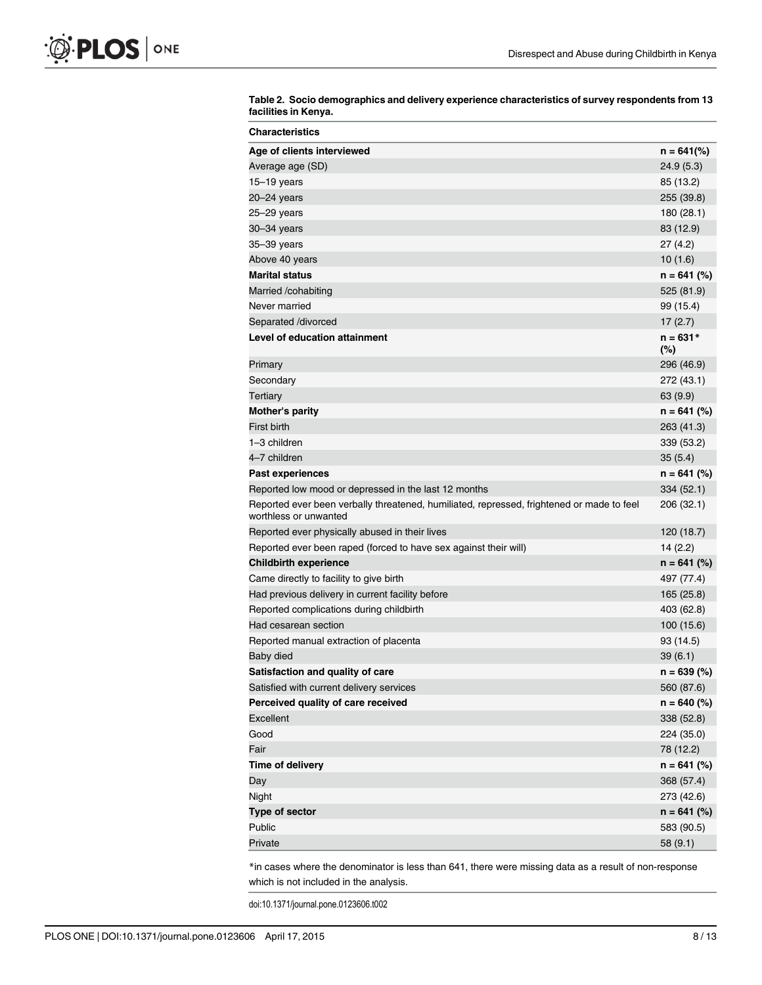| Age of clients interviewed<br>$n = 641$ (%)<br>24.9(5.3)<br>Average age (SD)<br>$15-19$ years<br>85 (13.2)<br>20-24 years<br>255 (39.8)<br>25–29 years<br>180 (28.1)<br>83 (12.9)<br>30–34 years<br>35-39 years<br>27(4.2)<br>Above 40 years<br>10(1.6)<br><b>Marital status</b><br>Married /cohabiting<br>525 (81.9)<br>Never married<br>99 (15.4)<br>Separated /divorced<br>17(2.7)<br>Level of education attainment<br>$n = 631*$<br>$(\%)$<br>296 (46.9)<br>Primary<br>Secondary<br>272 (43.1)<br>Tertiary<br>63 (9.9)<br>Mother's parity<br>First birth<br>263 (41.3)<br>1-3 children<br>339 (53.2)<br>4-7 children<br>35(5.4)<br>Past experiences<br>Reported low mood or depressed in the last 12 months<br>334 (52.1)<br>Reported ever been verbally threatened, humiliated, repressed, frightened or made to feel<br>206 (32.1)<br>worthless or unwanted<br>120 (18.7)<br>Reported ever physically abused in their lives<br>Reported ever been raped (forced to have sex against their will)<br>14(2.2)<br><b>Childbirth experience</b><br>Came directly to facility to give birth<br>497 (77.4)<br>Had previous delivery in current facility before<br>165 (25.8)<br>Reported complications during childbirth<br>403 (62.8)<br>Had cesarean section<br>100 (15.6)<br>Reported manual extraction of placenta<br>93 (14.5)<br>Baby died<br>39(6.1)<br>Satisfaction and quality of care<br>Satisfied with current delivery services<br>560 (87.6)<br>Perceived quality of care received<br><b>Excellent</b><br>338 (52.8)<br>Good<br>224 (35.0)<br>Fair<br>78 (12.2)<br>Time of delivery<br>Day<br>368 (57.4) | <b>Characteristics</b> |               |
|----------------------------------------------------------------------------------------------------------------------------------------------------------------------------------------------------------------------------------------------------------------------------------------------------------------------------------------------------------------------------------------------------------------------------------------------------------------------------------------------------------------------------------------------------------------------------------------------------------------------------------------------------------------------------------------------------------------------------------------------------------------------------------------------------------------------------------------------------------------------------------------------------------------------------------------------------------------------------------------------------------------------------------------------------------------------------------------------------------------------------------------------------------------------------------------------------------------------------------------------------------------------------------------------------------------------------------------------------------------------------------------------------------------------------------------------------------------------------------------------------------------------------------------------------------------------------------------------------------------------|------------------------|---------------|
|                                                                                                                                                                                                                                                                                                                                                                                                                                                                                                                                                                                                                                                                                                                                                                                                                                                                                                                                                                                                                                                                                                                                                                                                                                                                                                                                                                                                                                                                                                                                                                                                                      |                        |               |
|                                                                                                                                                                                                                                                                                                                                                                                                                                                                                                                                                                                                                                                                                                                                                                                                                                                                                                                                                                                                                                                                                                                                                                                                                                                                                                                                                                                                                                                                                                                                                                                                                      |                        |               |
|                                                                                                                                                                                                                                                                                                                                                                                                                                                                                                                                                                                                                                                                                                                                                                                                                                                                                                                                                                                                                                                                                                                                                                                                                                                                                                                                                                                                                                                                                                                                                                                                                      |                        |               |
|                                                                                                                                                                                                                                                                                                                                                                                                                                                                                                                                                                                                                                                                                                                                                                                                                                                                                                                                                                                                                                                                                                                                                                                                                                                                                                                                                                                                                                                                                                                                                                                                                      |                        |               |
|                                                                                                                                                                                                                                                                                                                                                                                                                                                                                                                                                                                                                                                                                                                                                                                                                                                                                                                                                                                                                                                                                                                                                                                                                                                                                                                                                                                                                                                                                                                                                                                                                      |                        |               |
|                                                                                                                                                                                                                                                                                                                                                                                                                                                                                                                                                                                                                                                                                                                                                                                                                                                                                                                                                                                                                                                                                                                                                                                                                                                                                                                                                                                                                                                                                                                                                                                                                      |                        |               |
|                                                                                                                                                                                                                                                                                                                                                                                                                                                                                                                                                                                                                                                                                                                                                                                                                                                                                                                                                                                                                                                                                                                                                                                                                                                                                                                                                                                                                                                                                                                                                                                                                      |                        |               |
|                                                                                                                                                                                                                                                                                                                                                                                                                                                                                                                                                                                                                                                                                                                                                                                                                                                                                                                                                                                                                                                                                                                                                                                                                                                                                                                                                                                                                                                                                                                                                                                                                      |                        |               |
|                                                                                                                                                                                                                                                                                                                                                                                                                                                                                                                                                                                                                                                                                                                                                                                                                                                                                                                                                                                                                                                                                                                                                                                                                                                                                                                                                                                                                                                                                                                                                                                                                      |                        | $n = 641$ (%) |
|                                                                                                                                                                                                                                                                                                                                                                                                                                                                                                                                                                                                                                                                                                                                                                                                                                                                                                                                                                                                                                                                                                                                                                                                                                                                                                                                                                                                                                                                                                                                                                                                                      |                        |               |
|                                                                                                                                                                                                                                                                                                                                                                                                                                                                                                                                                                                                                                                                                                                                                                                                                                                                                                                                                                                                                                                                                                                                                                                                                                                                                                                                                                                                                                                                                                                                                                                                                      |                        |               |
|                                                                                                                                                                                                                                                                                                                                                                                                                                                                                                                                                                                                                                                                                                                                                                                                                                                                                                                                                                                                                                                                                                                                                                                                                                                                                                                                                                                                                                                                                                                                                                                                                      |                        |               |
|                                                                                                                                                                                                                                                                                                                                                                                                                                                                                                                                                                                                                                                                                                                                                                                                                                                                                                                                                                                                                                                                                                                                                                                                                                                                                                                                                                                                                                                                                                                                                                                                                      |                        |               |
|                                                                                                                                                                                                                                                                                                                                                                                                                                                                                                                                                                                                                                                                                                                                                                                                                                                                                                                                                                                                                                                                                                                                                                                                                                                                                                                                                                                                                                                                                                                                                                                                                      |                        |               |
|                                                                                                                                                                                                                                                                                                                                                                                                                                                                                                                                                                                                                                                                                                                                                                                                                                                                                                                                                                                                                                                                                                                                                                                                                                                                                                                                                                                                                                                                                                                                                                                                                      |                        |               |
|                                                                                                                                                                                                                                                                                                                                                                                                                                                                                                                                                                                                                                                                                                                                                                                                                                                                                                                                                                                                                                                                                                                                                                                                                                                                                                                                                                                                                                                                                                                                                                                                                      |                        |               |
|                                                                                                                                                                                                                                                                                                                                                                                                                                                                                                                                                                                                                                                                                                                                                                                                                                                                                                                                                                                                                                                                                                                                                                                                                                                                                                                                                                                                                                                                                                                                                                                                                      |                        | $n = 641$ (%) |
|                                                                                                                                                                                                                                                                                                                                                                                                                                                                                                                                                                                                                                                                                                                                                                                                                                                                                                                                                                                                                                                                                                                                                                                                                                                                                                                                                                                                                                                                                                                                                                                                                      |                        |               |
|                                                                                                                                                                                                                                                                                                                                                                                                                                                                                                                                                                                                                                                                                                                                                                                                                                                                                                                                                                                                                                                                                                                                                                                                                                                                                                                                                                                                                                                                                                                                                                                                                      |                        |               |
|                                                                                                                                                                                                                                                                                                                                                                                                                                                                                                                                                                                                                                                                                                                                                                                                                                                                                                                                                                                                                                                                                                                                                                                                                                                                                                                                                                                                                                                                                                                                                                                                                      |                        |               |
|                                                                                                                                                                                                                                                                                                                                                                                                                                                                                                                                                                                                                                                                                                                                                                                                                                                                                                                                                                                                                                                                                                                                                                                                                                                                                                                                                                                                                                                                                                                                                                                                                      |                        | $n = 641$ (%) |
|                                                                                                                                                                                                                                                                                                                                                                                                                                                                                                                                                                                                                                                                                                                                                                                                                                                                                                                                                                                                                                                                                                                                                                                                                                                                                                                                                                                                                                                                                                                                                                                                                      |                        |               |
|                                                                                                                                                                                                                                                                                                                                                                                                                                                                                                                                                                                                                                                                                                                                                                                                                                                                                                                                                                                                                                                                                                                                                                                                                                                                                                                                                                                                                                                                                                                                                                                                                      |                        |               |
|                                                                                                                                                                                                                                                                                                                                                                                                                                                                                                                                                                                                                                                                                                                                                                                                                                                                                                                                                                                                                                                                                                                                                                                                                                                                                                                                                                                                                                                                                                                                                                                                                      |                        |               |
|                                                                                                                                                                                                                                                                                                                                                                                                                                                                                                                                                                                                                                                                                                                                                                                                                                                                                                                                                                                                                                                                                                                                                                                                                                                                                                                                                                                                                                                                                                                                                                                                                      |                        |               |
|                                                                                                                                                                                                                                                                                                                                                                                                                                                                                                                                                                                                                                                                                                                                                                                                                                                                                                                                                                                                                                                                                                                                                                                                                                                                                                                                                                                                                                                                                                                                                                                                                      |                        | $n = 641$ (%) |
|                                                                                                                                                                                                                                                                                                                                                                                                                                                                                                                                                                                                                                                                                                                                                                                                                                                                                                                                                                                                                                                                                                                                                                                                                                                                                                                                                                                                                                                                                                                                                                                                                      |                        |               |
|                                                                                                                                                                                                                                                                                                                                                                                                                                                                                                                                                                                                                                                                                                                                                                                                                                                                                                                                                                                                                                                                                                                                                                                                                                                                                                                                                                                                                                                                                                                                                                                                                      |                        |               |
|                                                                                                                                                                                                                                                                                                                                                                                                                                                                                                                                                                                                                                                                                                                                                                                                                                                                                                                                                                                                                                                                                                                                                                                                                                                                                                                                                                                                                                                                                                                                                                                                                      |                        |               |
|                                                                                                                                                                                                                                                                                                                                                                                                                                                                                                                                                                                                                                                                                                                                                                                                                                                                                                                                                                                                                                                                                                                                                                                                                                                                                                                                                                                                                                                                                                                                                                                                                      |                        |               |
|                                                                                                                                                                                                                                                                                                                                                                                                                                                                                                                                                                                                                                                                                                                                                                                                                                                                                                                                                                                                                                                                                                                                                                                                                                                                                                                                                                                                                                                                                                                                                                                                                      |                        |               |
|                                                                                                                                                                                                                                                                                                                                                                                                                                                                                                                                                                                                                                                                                                                                                                                                                                                                                                                                                                                                                                                                                                                                                                                                                                                                                                                                                                                                                                                                                                                                                                                                                      |                        |               |
|                                                                                                                                                                                                                                                                                                                                                                                                                                                                                                                                                                                                                                                                                                                                                                                                                                                                                                                                                                                                                                                                                                                                                                                                                                                                                                                                                                                                                                                                                                                                                                                                                      |                        | $n = 639 (%)$ |
|                                                                                                                                                                                                                                                                                                                                                                                                                                                                                                                                                                                                                                                                                                                                                                                                                                                                                                                                                                                                                                                                                                                                                                                                                                                                                                                                                                                                                                                                                                                                                                                                                      |                        |               |
|                                                                                                                                                                                                                                                                                                                                                                                                                                                                                                                                                                                                                                                                                                                                                                                                                                                                                                                                                                                                                                                                                                                                                                                                                                                                                                                                                                                                                                                                                                                                                                                                                      |                        | $n = 640$ (%) |
|                                                                                                                                                                                                                                                                                                                                                                                                                                                                                                                                                                                                                                                                                                                                                                                                                                                                                                                                                                                                                                                                                                                                                                                                                                                                                                                                                                                                                                                                                                                                                                                                                      |                        |               |
|                                                                                                                                                                                                                                                                                                                                                                                                                                                                                                                                                                                                                                                                                                                                                                                                                                                                                                                                                                                                                                                                                                                                                                                                                                                                                                                                                                                                                                                                                                                                                                                                                      |                        |               |
|                                                                                                                                                                                                                                                                                                                                                                                                                                                                                                                                                                                                                                                                                                                                                                                                                                                                                                                                                                                                                                                                                                                                                                                                                                                                                                                                                                                                                                                                                                                                                                                                                      |                        |               |
|                                                                                                                                                                                                                                                                                                                                                                                                                                                                                                                                                                                                                                                                                                                                                                                                                                                                                                                                                                                                                                                                                                                                                                                                                                                                                                                                                                                                                                                                                                                                                                                                                      |                        | $n = 641$ (%) |
|                                                                                                                                                                                                                                                                                                                                                                                                                                                                                                                                                                                                                                                                                                                                                                                                                                                                                                                                                                                                                                                                                                                                                                                                                                                                                                                                                                                                                                                                                                                                                                                                                      |                        |               |
|                                                                                                                                                                                                                                                                                                                                                                                                                                                                                                                                                                                                                                                                                                                                                                                                                                                                                                                                                                                                                                                                                                                                                                                                                                                                                                                                                                                                                                                                                                                                                                                                                      | Night                  | 273 (42.6)    |
| Type of sector                                                                                                                                                                                                                                                                                                                                                                                                                                                                                                                                                                                                                                                                                                                                                                                                                                                                                                                                                                                                                                                                                                                                                                                                                                                                                                                                                                                                                                                                                                                                                                                                       |                        | $n = 641$ (%) |
| Public<br>583 (90.5)                                                                                                                                                                                                                                                                                                                                                                                                                                                                                                                                                                                                                                                                                                                                                                                                                                                                                                                                                                                                                                                                                                                                                                                                                                                                                                                                                                                                                                                                                                                                                                                                 |                        |               |
| Private<br>58 (9.1)                                                                                                                                                                                                                                                                                                                                                                                                                                                                                                                                                                                                                                                                                                                                                                                                                                                                                                                                                                                                                                                                                                                                                                                                                                                                                                                                                                                                                                                                                                                                                                                                  |                        |               |

<span id="page-7-0"></span>[Table 2.](#page-6-0) Socio demographics and delivery experience characteristics of survey respondents from 13 facilities in Kenya.

\*in cases where the denominator is less than 641, there were missing data as a result of non-response which is not included in the analysis.

doi:10.1371/journal.pone.0123606.t002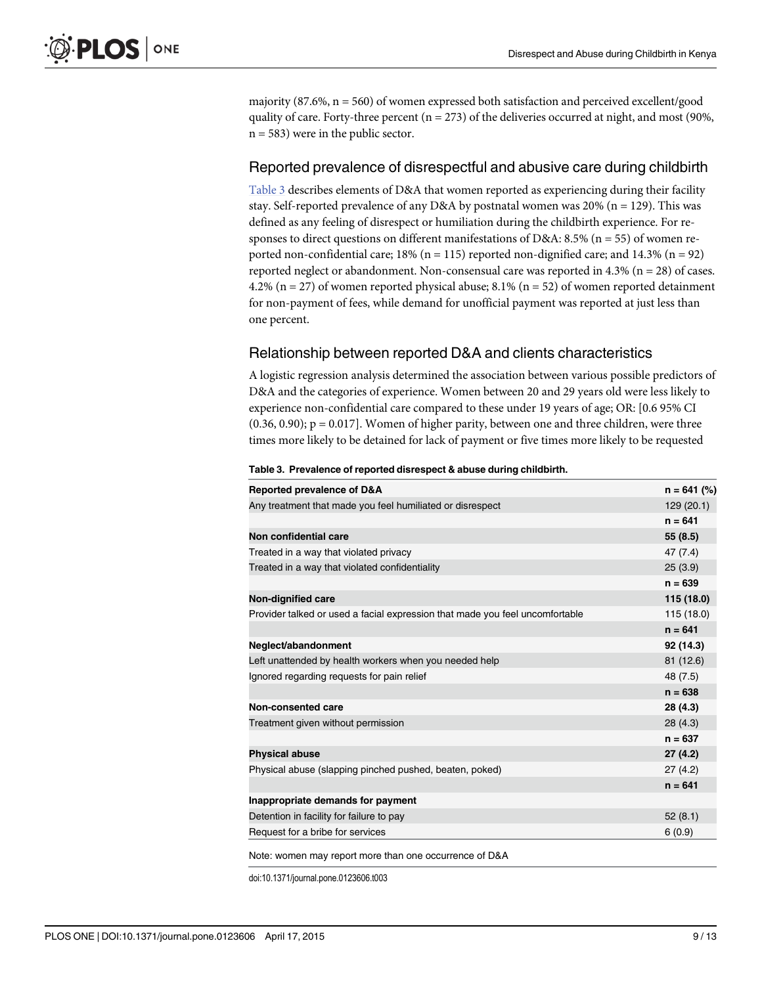majority  $(87.6\%, n = 560)$  of women expressed both satisfaction and perceived excellent/good quality of care. Forty-three percent ( $n = 273$ ) of the deliveries occurred at night, and most (90%,  $n = 583$ ) were in the public sector.

#### Reported prevalence of disrespectful and abusive care during childbirth

Table 3 describes elements of D&A that women reported as experiencing during their facility stay. Self-reported prevalence of any D&A by postnatal women was  $20\%$  (n = 129). This was defined as any feeling of disrespect or humiliation during the childbirth experience. For responses to direct questions on different manifestations of D&A: 8.5% (n = 55) of women reported non-confidential care;  $18\%$  (n = 115) reported non-dignified care; and  $14.3\%$  (n = 92) reported neglect or abandonment. Non-consensual care was reported in  $4.3\%$  (n = 28) of cases. 4.2% (n = 27) of women reported physical abuse; 8.1% (n = 52) of women reported detainment for non-payment of fees, while demand for unofficial payment was reported at just less than one percent.

### Relationship between reported D&A and clients characteristics

A logistic regression analysis determined the association between various possible predictors of D&A and the categories of experience. Women between 20 and 29 years old were less likely to experience non-confidential care compared to these under 19 years of age; OR: [0.6 95% CI  $(0.36, 0.90)$ ;  $p = 0.017$ ]. Women of higher parity, between one and three children, were three times more likely to be detained for lack of payment or five times more likely to be requested

#### Table 3. Prevalence of reported disrespect & abuse during childbirth.

| <b>Reported prevalence of D&amp;A</b>                                        | $n = 641$ (%) |
|------------------------------------------------------------------------------|---------------|
| Any treatment that made you feel humiliated or disrespect                    | 129 (20.1)    |
|                                                                              | $n = 641$     |
| Non confidential care                                                        | 55(8.5)       |
| Treated in a way that violated privacy                                       | 47 (7.4)      |
| Treated in a way that violated confidentiality                               | 25(3.9)       |
|                                                                              | $n = 639$     |
| <b>Non-dignified care</b>                                                    | 115 (18.0)    |
| Provider talked or used a facial expression that made you feel uncomfortable | 115 (18.0)    |
|                                                                              | $n = 641$     |
| Neglect/abandonment                                                          | 92 (14.3)     |
| Left unattended by health workers when you needed help                       | 81 (12.6)     |
| Ignored regarding requests for pain relief                                   | 48 (7.5)      |
|                                                                              | $n = 638$     |
| Non-consented care                                                           | 28 (4.3)      |
| Treatment given without permission                                           | 28(4.3)       |
|                                                                              | $n = 637$     |
| <b>Physical abuse</b>                                                        | 27(4.2)       |
| Physical abuse (slapping pinched pushed, beaten, poked)                      | 27(4.2)       |
|                                                                              | $n = 641$     |
| Inappropriate demands for payment                                            |               |
| Detention in facility for failure to pay                                     | 52(8.1)       |
| Request for a bribe for services                                             | 6(0.9)        |

doi:10.1371/journal.pone.0123606.t003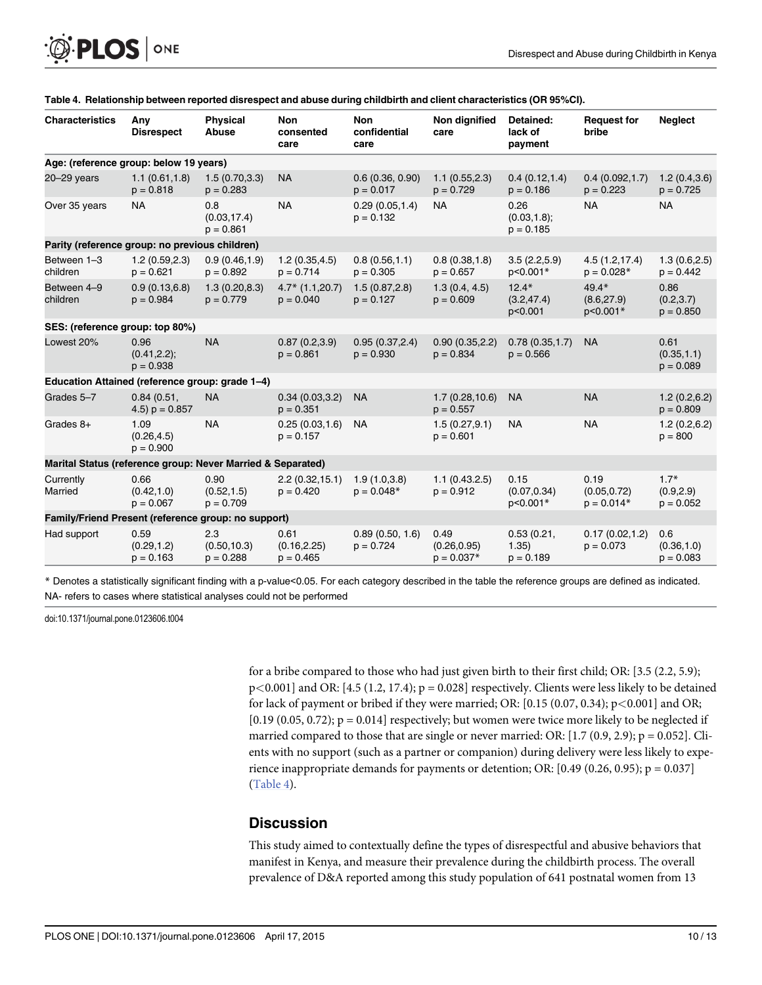| <sup>O</sup> PLOS   ONE |  |  |
|-------------------------|--|--|
|-------------------------|--|--|

| <b>Characteristics</b>                                      | Any<br><b>Disrespect</b>               | <b>Physical</b><br>Abuse           | <b>Non</b><br>consented<br>care     | <b>Non</b><br>confidential<br>care | Non dignified<br>care                | Detained:<br>lack of<br>payment        | <b>Request for</b><br>bribe          | <b>Neglect</b>                      |
|-------------------------------------------------------------|----------------------------------------|------------------------------------|-------------------------------------|------------------------------------|--------------------------------------|----------------------------------------|--------------------------------------|-------------------------------------|
| Age: (reference group: below 19 years)                      |                                        |                                    |                                     |                                    |                                      |                                        |                                      |                                     |
| $20 - 29$ years                                             | 1.1(0.61, 1.8)<br>$p = 0.818$          | 1.5(0.70, 3.3)<br>$p = 0.283$      | <b>NA</b>                           | 0.6(0.36, 0.90)<br>$p = 0.017$     | 1.1(0.55, 2.3)<br>$p = 0.729$        | 0.4(0.12,1.4)<br>$p = 0.186$           | 0.4(0.092,1.7)<br>$p = 0.223$        | 1.2(0.4, 3.6)<br>$p = 0.725$        |
| Over 35 years                                               | <b>NA</b>                              | 0.8<br>(0.03, 17.4)<br>$p = 0.861$ | <b>NA</b>                           | 0.29(0.05, 1.4)<br>$p = 0.132$     | <b>NA</b>                            | 0.26<br>$(0.03, 1.8)$ ;<br>$p = 0.185$ | <b>NA</b>                            | <b>NA</b>                           |
| Parity (reference group: no previous children)              |                                        |                                    |                                     |                                    |                                      |                                        |                                      |                                     |
| Between 1-3<br>children                                     | 1.2(0.59, 2.3)<br>$p = 0.621$          | 0.9(0.46, 1.9)<br>$p = 0.892$      | 1.2(0.35, 4.5)<br>$p = 0.714$       | 0.8(0.56, 1.1)<br>$p = 0.305$      | 0.8(0.38, 1.8)<br>$p = 0.657$        | 3.5(2.2,5.9)<br>p<0.001*               | 4.5(1.2, 17.4)<br>$p = 0.028*$       | 1.3(0.6, 2.5)<br>$p = 0.442$        |
| Between 4-9<br>children                                     | 0.9(0.13.6.8)<br>$p = 0.984$           | 1.3(0.20.8.3)<br>$p = 0.779$       | $4.7*$ (1.1,20.7)<br>$p = 0.040$    | 1.5(0.87, 2.8)<br>$p = 0.127$      | 1.3(0.4, 4.5)<br>$p = 0.609$         | $12.4*$<br>(3.2, 47.4)<br>p<0.001      | $49.4*$<br>(8.6, 27.9)<br>p<0.001*   | 0.86<br>(0.2, 3.7)<br>$p = 0.850$   |
| SES: (reference group: top 80%)                             |                                        |                                    |                                     |                                    |                                      |                                        |                                      |                                     |
| Lowest 20%                                                  | 0.96<br>$(0.41, 2.2)$ ;<br>$p = 0.938$ | <b>NA</b>                          | 0.87(0.2,3.9)<br>$p = 0.861$        | 0.95(0.37, 2.4)<br>$p = 0.930$     | 0.90(0.35, 2.2)<br>$p = 0.834$       | 0.78(0.35, 1.7)<br>$p = 0.566$         | <b>NA</b>                            | 0.61<br>(0.35, 1.1)<br>$p = 0.089$  |
| Education Attained (reference group: grade 1-4)             |                                        |                                    |                                     |                                    |                                      |                                        |                                      |                                     |
| Grades 5-7                                                  | 0.84(0.51,<br>4.5) $p = 0.857$         | <b>NA</b>                          | 0.34(0.03, 3.2)<br>$p = 0.351$      | <b>NA</b>                          | 1.7(0.28, 10.6)<br>$p = 0.557$       | <b>NA</b>                              | <b>NA</b>                            | 1.2(0.2.6.2)<br>$p = 0.809$         |
| Grades 8+                                                   | 1.09<br>(0.26, 4.5)<br>$p = 0.900$     | <b>NA</b>                          | 0.25(0.03,1.6)<br>$p = 0.157$       | <b>NA</b>                          | 1.5(0.27, 9.1)<br>$p = 0.601$        | <b>NA</b>                              | <b>NA</b>                            | 1.2(0.2, 6.2)<br>$p = 800$          |
| Marital Status (reference group: Never Married & Separated) |                                        |                                    |                                     |                                    |                                      |                                        |                                      |                                     |
| Currently<br>Married                                        | 0.66<br>(0.42, 1.0)<br>$p = 0.067$     | 0.90<br>(0.52, 1.5)<br>$p = 0.709$ | 2.2(0.32, 15.1)<br>$p = 0.420$      | 1.9(1.0.3.8)<br>$p = 0.048*$       | 1.1(0.43.2.5)<br>$p = 0.912$         | 0.15<br>(0.07, 0.34)<br>p<0.001*       | 0.19<br>(0.05, 0.72)<br>$p = 0.014*$ | $1.7*$<br>(0.9, 2.9)<br>$p = 0.052$ |
| Family/Friend Present (reference group: no support)         |                                        |                                    |                                     |                                    |                                      |                                        |                                      |                                     |
| Had support                                                 | 0.59<br>(0.29, 1.2)<br>$p = 0.163$     | 2.3<br>(0.50, 10.3)<br>$p = 0.288$ | 0.61<br>(0.16, 2.25)<br>$p = 0.465$ | 0.89(0.50, 1.6)<br>$p = 0.724$     | 0.49<br>(0.26, 0.95)<br>$p = 0.037*$ | 0.53(0.21,<br>1.35)<br>$p = 0.189$     | 0.17(0.02, 1.2)<br>$p = 0.073$       | 0.6<br>(0.36, 1.0)<br>$p = 0.083$   |

#### Table 4. Relationship between reported disrespect and abuse during childbirth and client characteristics (OR 95%CI).

\* Denotes a statistically significant finding with a p-value<0.05. For each category described in the table the reference groups are defined as indicated. NA- refers to cases where statistical analyses could not be performed

doi:10.1371/journal.pone.0123606.t004

for a bribe compared to those who had just given birth to their first child; OR: [3.5 (2.2, 5.9);  $p<0.001$  and OR: [4.5 (1.2, 17.4);  $p = 0.028$ ] respectively. Clients were less likely to be detained for lack of payment or bribed if they were married; OR:  $[0.15 (0.07, 0.34); p<0.001]$  and OR;  $[0.19 (0.05, 0.72); p = 0.014]$  respectively; but women were twice more likely to be neglected if married compared to those that are single or never married: OR:  $[1.7 (0.9, 2.9); p = 0.052]$ . Clients with no support (such as a partner or companion) during delivery were less likely to experience inappropriate demands for payments or detention; OR:  $[0.49 (0.26, 0.95); p = 0.037]$ (Table 4).

#### **Discussion**

This study aimed to contextually define the types of disrespectful and abusive behaviors that manifest in Kenya, and measure their prevalence during the childbirth process. The overall prevalence of D&A reported among this study population of 641 postnatal women from 13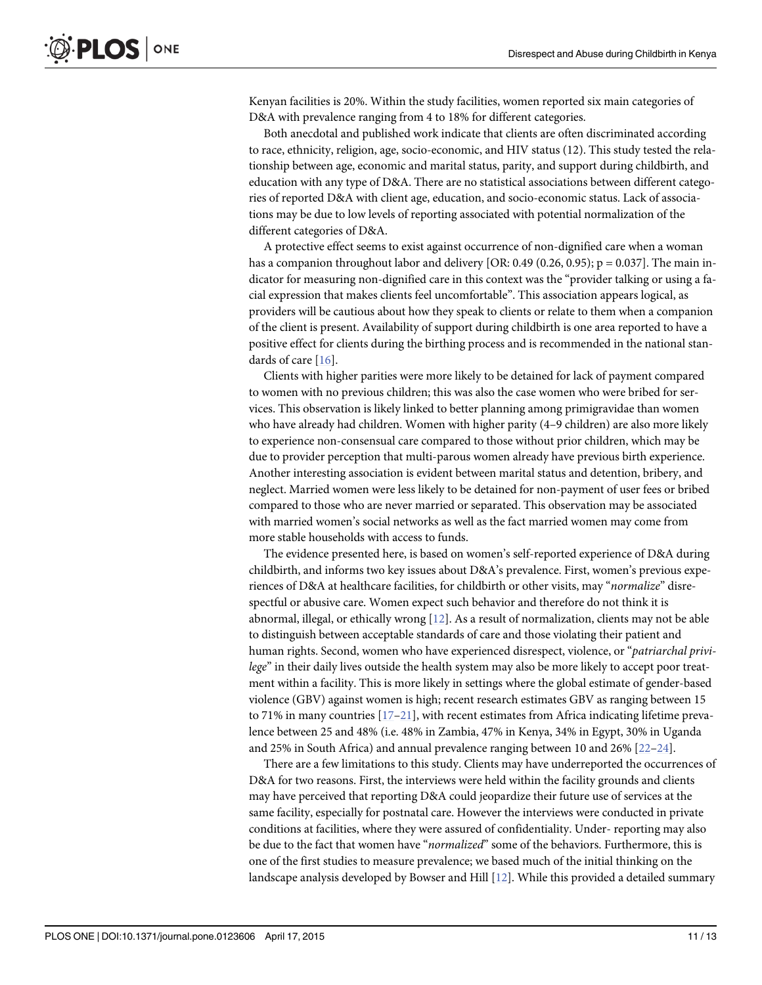<span id="page-10-0"></span>Kenyan facilities is 20%. Within the study facilities, women reported six main categories of D&A with prevalence ranging from 4 to 18% for different categories.

Both anecdotal and published work indicate that clients are often discriminated according to race, ethnicity, religion, age, socio-economic, and HIV status (12). This study tested the relationship between age, economic and marital status, parity, and support during childbirth, and education with any type of D&A. There are no statistical associations between different categories of reported D&A with client age, education, and socio-economic status. Lack of associations may be due to low levels of reporting associated with potential normalization of the different categories of D&A.

A protective effect seems to exist against occurrence of non-dignified care when a woman has a companion throughout labor and delivery [OR: 0.49 (0.26, 0.95);  $p = 0.037$ ]. The main indicator for measuring non-dignified care in this context was the "provider talking or using a facial expression that makes clients feel uncomfortable". This association appears logical, as providers will be cautious about how they speak to clients or relate to them when a companion of the client is present. Availability of support during childbirth is one area reported to have a positive effect for clients during the birthing process and is recommended in the national standards of care [\[16](#page-12-0)].

Clients with higher parities were more likely to be detained for lack of payment compared to women with no previous children; this was also the case women who were bribed for services. This observation is likely linked to better planning among primigravidae than women who have already had children. Women with higher parity (4–9 children) are also more likely to experience non-consensual care compared to those without prior children, which may be due to provider perception that multi-parous women already have previous birth experience. Another interesting association is evident between marital status and detention, bribery, and neglect. Married women were less likely to be detained for non-payment of user fees or bribed compared to those who are never married or separated. This observation may be associated with married women's social networks as well as the fact married women may come from more stable households with access to funds.

The evidence presented here, is based on women's self-reported experience of D&A during childbirth, and informs two key issues about D&A's prevalence. First, women's previous experiences of D&A at healthcare facilities, for childbirth or other visits, may "normalize" disrespectful or abusive care. Women expect such behavior and therefore do not think it is abnormal, illegal, or ethically wrong  $[12]$  $[12]$ . As a result of normalization, clients may not be able to distinguish between acceptable standards of care and those violating their patient and human rights. Second, women who have experienced disrespect, violence, or "patriarchal privilege" in their daily lives outside the health system may also be more likely to accept poor treatment within a facility. This is more likely in settings where the global estimate of gender-based violence (GBV) against women is high; recent research estimates GBV as ranging between 15 to 71% in many countries  $[17-21]$  $[17-21]$  $[17-21]$  $[17-21]$ , with recent estimates from Africa indicating lifetime prevalence between 25 and 48% (i.e. 48% in Zambia, 47% in Kenya, 34% in Egypt, 30% in Uganda and 25% in South Africa) and annual prevalence ranging between 10 and 26% [\[22](#page-12-0)–[24\]](#page-12-0).

There are a few limitations to this study. Clients may have underreported the occurrences of D&A for two reasons. First, the interviews were held within the facility grounds and clients may have perceived that reporting D&A could jeopardize their future use of services at the same facility, especially for postnatal care. However the interviews were conducted in private conditions at facilities, where they were assured of confidentiality. Under- reporting may also be due to the fact that women have "normalized" some of the behaviors. Furthermore, this is one of the first studies to measure prevalence; we based much of the initial thinking on the landscape analysis developed by Bowser and Hill  $[12]$ . While this provided a detailed summary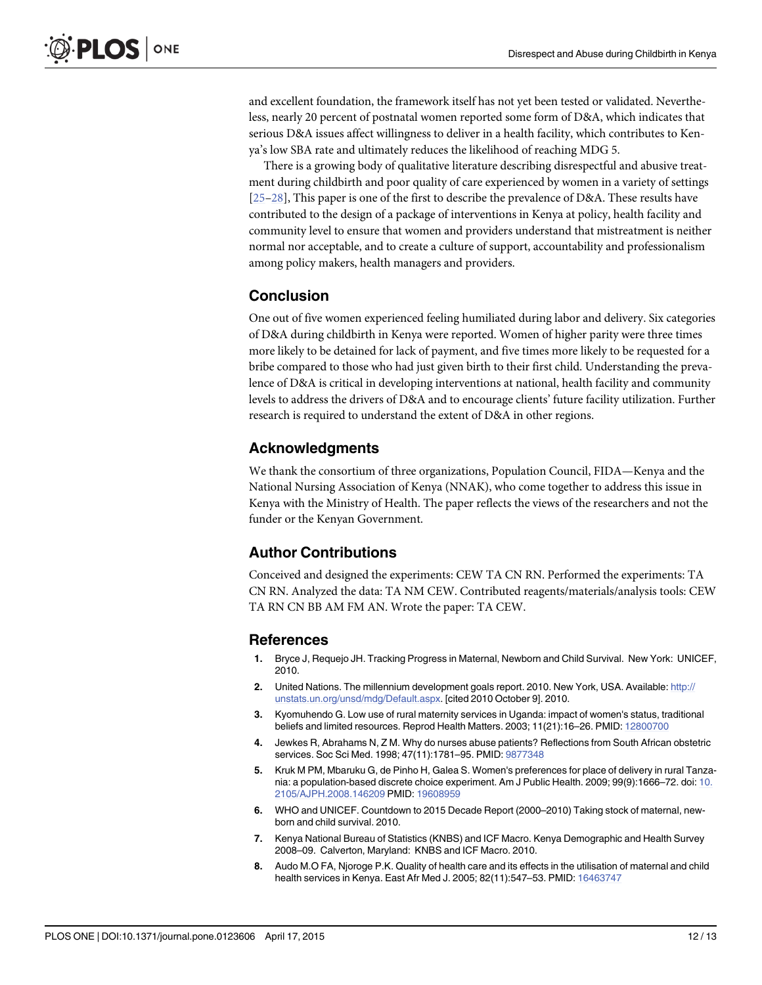<span id="page-11-0"></span>and excellent foundation, the framework itself has not yet been tested or validated. Nevertheless, nearly 20 percent of postnatal women reported some form of D&A, which indicates that serious D&A issues affect willingness to deliver in a health facility, which contributes to Kenya's low SBA rate and ultimately reduces the likelihood of reaching MDG 5.

There is a growing body of qualitative literature describing disrespectful and abusive treatment during childbirth and poor quality of care experienced by women in a variety of settings [\[25](#page-12-0)–[28\]](#page-12-0), This paper is one of the first to describe the prevalence of D&A. These results have contributed to the design of a package of interventions in Kenya at policy, health facility and community level to ensure that women and providers understand that mistreatment is neither normal nor acceptable, and to create a culture of support, accountability and professionalism among policy makers, health managers and providers.

### **Conclusion**

One out of five women experienced feeling humiliated during labor and delivery. Six categories of D&A during childbirth in Kenya were reported. Women of higher parity were three times more likely to be detained for lack of payment, and five times more likely to be requested for a bribe compared to those who had just given birth to their first child. Understanding the prevalence of D&A is critical in developing interventions at national, health facility and community levels to address the drivers of D&A and to encourage clients' future facility utilization. Further research is required to understand the extent of D&A in other regions.

### Acknowledgments

We thank the consortium of three organizations, Population Council, FIDA—Kenya and the National Nursing Association of Kenya (NNAK), who come together to address this issue in Kenya with the Ministry of Health. The paper reflects the views of the researchers and not the funder or the Kenyan Government.

### Author Contributions

Conceived and designed the experiments: CEW TA CN RN. Performed the experiments: TA CN RN. Analyzed the data: TA NM CEW. Contributed reagents/materials/analysis tools: CEW TA RN CN BB AM FM AN. Wrote the paper: TA CEW.

#### References

- [1.](#page-1-0) Bryce J, Requejo JH. Tracking Progress in Maternal, Newborn and Child Survival. New York: UNICEF, 2010.
- [2.](#page-1-0) United Nations. The millennium development goals report. 2010. New York, USA. Available: [http://](http://unstats.un.org/unsd/mdg/Default.aspx) [unstats.un.org/unsd/mdg/Default.aspx.](http://unstats.un.org/unsd/mdg/Default.aspx) [cited 2010 October 9]. 2010.
- [3.](#page-1-0) Kyomuhendo G. Low use of rural maternity services in Uganda: impact of women's status, traditional beliefs and limited resources. Reprod Health Matters. 2003; 11(21):16–26. PMID: [12800700](http://www.ncbi.nlm.nih.gov/pubmed/12800700)
- [4.](#page-1-0) Jewkes R, Abrahams N, Z M. Why do nurses abuse patients? Reflections from South African obstetric services. Soc Sci Med. 1998; 47(11):1781–95. PMID: [9877348](http://www.ncbi.nlm.nih.gov/pubmed/9877348)
- [5.](#page-1-0) Kruk M PM, Mbaruku G, de Pinho H, Galea S. Women's preferences for place of delivery in rural Tanzania: a population-based discrete choice experiment. Am J Public Health. 2009; 99(9):1666–72. doi: [10.](http://dx.doi.org/10.2105/AJPH.2008.146209) [2105/AJPH.2008.146209](http://dx.doi.org/10.2105/AJPH.2008.146209) PMID: [19608959](http://www.ncbi.nlm.nih.gov/pubmed/19608959)
- [6.](#page-1-0) WHO and UNICEF. Countdown to 2015 Decade Report (2000–2010) Taking stock of maternal, newborn and child survival. 2010.
- [7.](#page-1-0) Kenya National Bureau of Statistics (KNBS) and ICF Macro. Kenya Demographic and Health Survey 2008–09. Calverton, Maryland: KNBS and ICF Macro. 2010.
- [8.](#page-1-0) Audo M.O FA, Njoroge P.K. Quality of health care and its effects in the utilisation of maternal and child health services in Kenya. East Afr Med J. 2005; 82(11):547–53. PMID: [16463747](http://www.ncbi.nlm.nih.gov/pubmed/16463747)